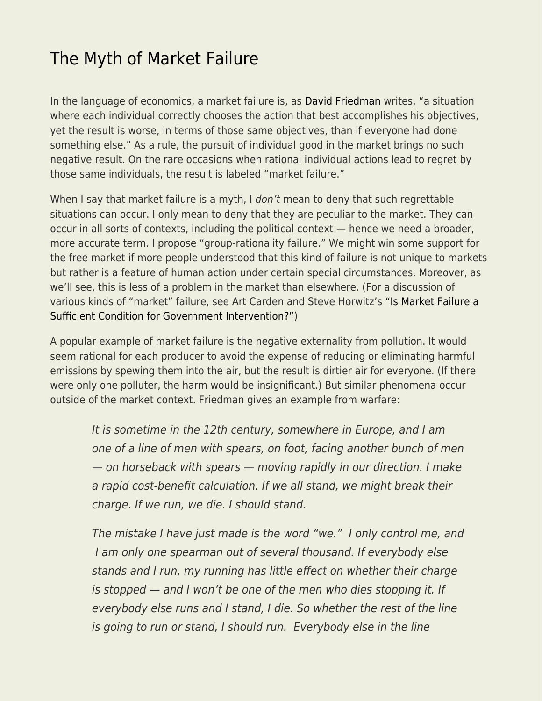## [The Myth of Market Failure](https://everything-voluntary.com/the-myth-of-market-failure)

In the language of economics, a market failure is, as [David Friedman](http://www.daviddfriedman.com/Academic/mps_iceland_talk/Iceland%20MP%20talk.htm) writes, "a situation where each individual correctly chooses the action that best accomplishes his objectives, yet the result is worse, in terms of those same objectives, than if everyone had done something else." As a rule, the pursuit of individual good in the market brings no such negative result. On the rare occasions when rational individual actions lead to regret by those same individuals, the result is labeled "market failure."

When I say that market failure is a myth, I don't mean to deny that such regrettable situations can occur. I only mean to deny that they are peculiar to the market. They can occur in all sorts of contexts, including the political context — hence we need a broader, more accurate term. I propose "group-rationality failure." We might win some support for the free market if more people understood that this kind of failure is not unique to markets but rather is a feature of human action under certain special circumstances. Moreover, as we'll see, this is less of a problem in the market than elsewhere. (For a discussion of various kinds of "market" failure, see Art Carden and Steve Horwitz's ["Is Market Failure a](http://www.econlib.org/library/Columns/y2013/CardenHorwitzmarkets.html) [Sufficient Condition for Government Intervention?"](http://www.econlib.org/library/Columns/y2013/CardenHorwitzmarkets.html))

A popular example of market failure is the negative externality from pollution. It would seem rational for each producer to avoid the expense of reducing or eliminating harmful emissions by spewing them into the air, but the result is dirtier air for everyone. (If there were only one polluter, the harm would be insignificant.) But similar phenomena occur outside of the market context. Friedman gives an example from warfare:

It is sometime in the 12th century, somewhere in Europe, and I am one of a line of men with spears, on foot, facing another bunch of men — on horseback with spears — moving rapidly in our direction. I make a rapid cost-benefit calculation. If we all stand, we might break their charge. If we run, we die. I should stand.

The mistake I have just made is the word "we." I only control me, and I am only one spearman out of several thousand. If everybody else stands and I run, my running has little effect on whether their charge is stopped — and I won't be one of the men who dies stopping it. If everybody else runs and I stand, I die. So whether the rest of the line is going to run or stand, I should run. Everybody else in the line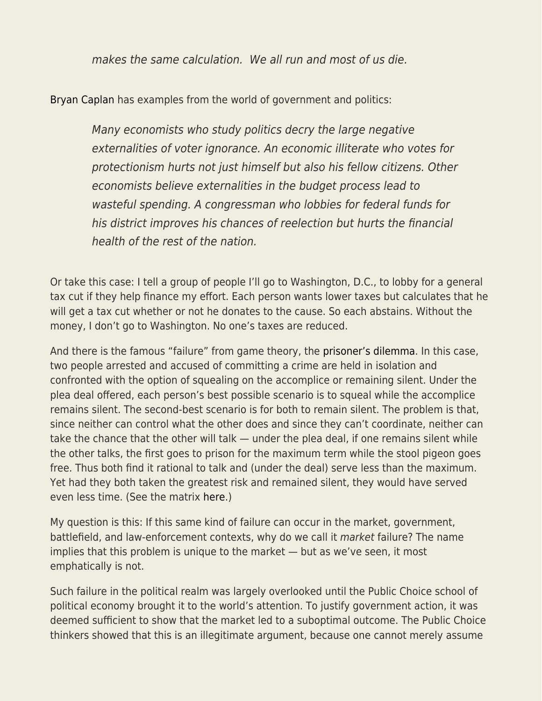makes the same calculation. We all run and most of us die.

[Bryan Caplan](http://www.econlib.org/library/Enc/Externalities.html) has examples from the world of government and politics:

Many economists who study politics decry the large negative externalities of voter ignorance. An economic illiterate who votes for protectionism hurts not just himself but also his fellow citizens. Other economists believe externalities in the budget process lead to wasteful spending. A congressman who lobbies for federal funds for his district improves his chances of reelection but hurts the financial health of the rest of the nation.

Or take this case: I tell a group of people I'll go to Washington, D.C., to lobby for a general tax cut if they help finance my effort. Each person wants lower taxes but calculates that he will get a tax cut whether or not he donates to the cause. So each abstains. Without the money, I don't go to Washington. No one's taxes are reduced.

And there is the famous "failure" from game theory, the [prisoner's dilemma](http://en.wikipedia.org/wiki/Prisoner%27s_dilemma). In this case, two people arrested and accused of committing a crime are held in isolation and confronted with the option of squealing on the accomplice or remaining silent. Under the plea deal offered, each person's best possible scenario is to squeal while the accomplice remains silent. The second-best scenario is for both to remain silent. The problem is that, since neither can control what the other does and since they can't coordinate, neither can take the chance that the other will talk — under the plea deal, if one remains silent while the other talks, the first goes to prison for the maximum term while the stool pigeon goes free. Thus both find it rational to talk and (under the deal) serve less than the maximum. Yet had they both taken the greatest risk and remained silent, they would have served even less time. (See the matrix [here](http://en.wikipedia.org/wiki/Prisoner%27s_dilemma#Strategy_for_the_classic_prisoners.27_dilemma).)

My question is this: If this same kind of failure can occur in the market, government, battlefield, and law-enforcement contexts, why do we call it market failure? The name implies that this problem is unique to the market — but as we've seen, it most emphatically is not.

Such failure in the political realm was largely overlooked until the Public Choice school of political economy brought it to the world's attention. To justify government action, it was deemed sufficient to show that the market led to a suboptimal outcome. The Public Choice thinkers showed that this is an illegitimate argument, because one cannot merely assume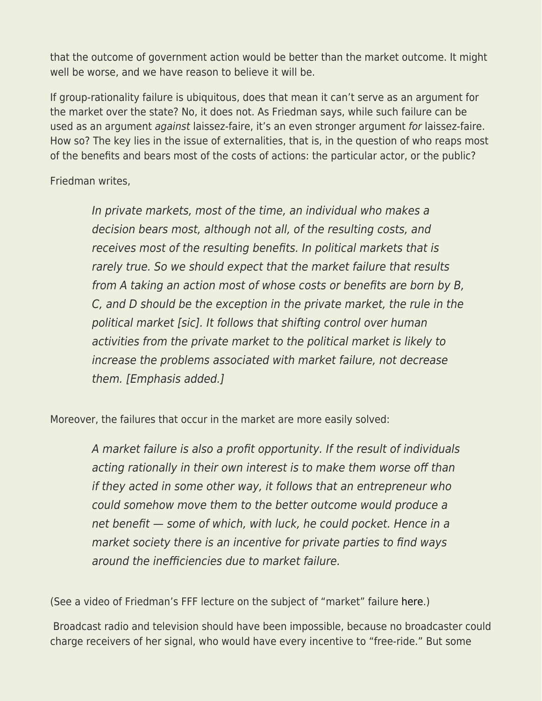that the outcome of government action would be better than the market outcome. It might well be worse, and we have reason to believe it will be.

If group-rationality failure is ubiquitous, does that mean it can't serve as an argument for the market over the state? No, it does not. As Friedman says, while such failure can be used as an argument *against* laissez-faire, it's an even stronger argument for laissez-faire. How so? The key lies in the issue of externalities, that is, in the question of who reaps most of the benefits and bears most of the costs of actions: the particular actor, or the public?

Friedman writes,

In private markets, most of the time, an individual who makes a decision bears most, although not all, of the resulting costs, and receives most of the resulting benefits. In political markets that is rarely true. So we should expect that the market failure that results from A taking an action most of whose costs or benefits are born by B, C, and D should be the exception in the private market, the rule in the political market [sic]. It follows that shifting control over human activities from the private market to the political market is likely to increase the problems associated with market failure, not decrease them. [Emphasis added.]

Moreover, the failures that occur in the market are more easily solved:

A market failure is also a profit opportunity. If the result of individuals acting rationally in their own interest is to make them worse off than if they acted in some other way, it follows that an entrepreneur who could somehow move them to the better outcome would produce a net benefit — some of which, with luck, he could pocket. Hence in a market society there is an incentive for private parties to find ways around the inefficiencies due to market failure.

(See a video of Friedman's FFF lecture on the subject of "market" failure [here](http://fff.org/freedom-in-motion/video/market-failure-an-argument-both-for-and-against-government/).)

 Broadcast radio and television should have been impossible, because no broadcaster could charge receivers of her signal, who would have every incentive to "free-ride." But some